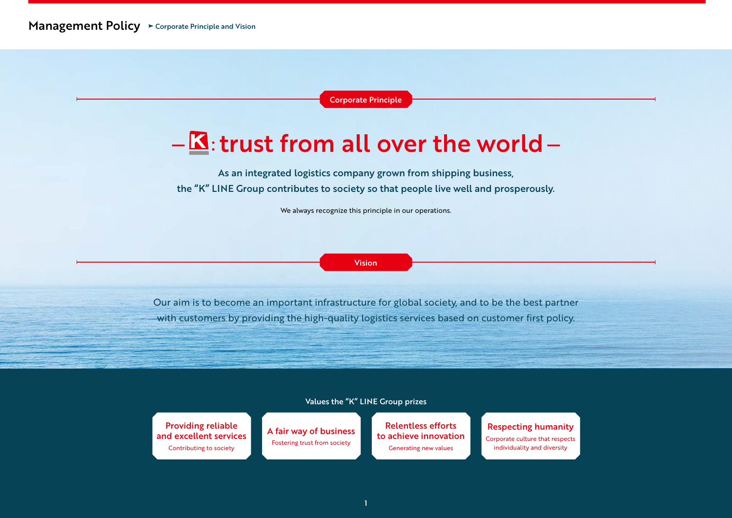Corporate Principle

# $-\underline{\mathbf{K}}$ : trust from all over the world -

As an integrated logistics company grown from shipping business, the "K" LINE Group contributes to society so that people live well and prosperously.

We always recognize this principle in our operations.

Vision

Our aim is to become an important infrastructure for global society, and to be the best partner with customers by providing the high-quality logistics services based on customer first policy.

#### Values the "K" LINE Group prizes

Providing reliable and excellent services Contributing to society

A fair way of business Fostering trust from society

Relentless efforts to achieve innovation Generating new values

### Respecting humanity Corporate culture that respects individuality and diversity